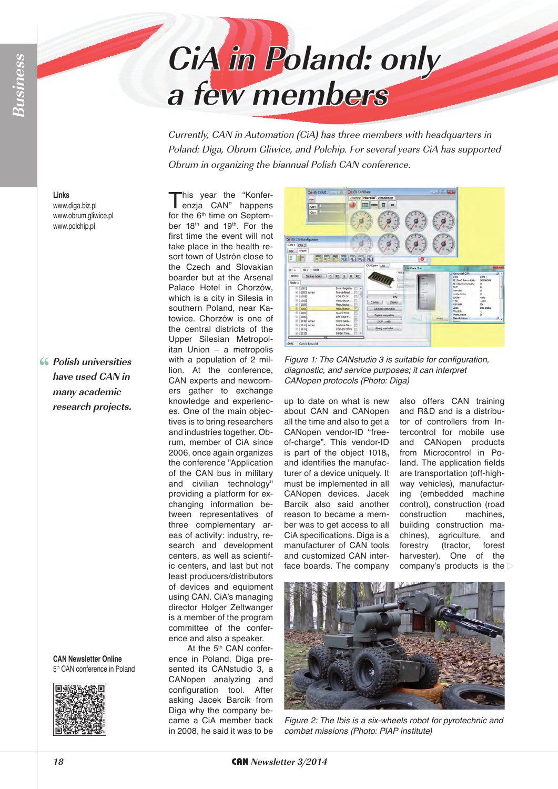## **CiA in Poland: only a few members**

Currently, CAN in Automation (CiA) has three members with headquarters in Poland: Diga, Obrum Gliwice, and Polchip. For several years CiA has supported Obrum in organizing the biannual Polish CAN conference.

**Links** www.diga.biz.pl www.obrum.gliwice.pl www.polchip.pl

**Polish universities have used CAN in many academic research projects.**

> **CAN Newsletter Online** 5th CAN conference in Poland



This year the "Konfer-<br>enzja CAN" happens<br>for the <sup>6th</sup> time on Sontam for the 6<sup>th</sup> time on September 18<sup>th</sup> and 19<sup>th</sup>. For the first time the event will not take place in the health resort town of Ustrón close to the Czech and Slovakian boarder but at the Arsenal Palace Hotel in Chorzów, which is a city in Silesia in southern Poland, near Katowice. Chorzów is one of the central districts of the Upper Silesian Metropolitan Union – a metropolis with a population of 2 million. At the conference, CAN experts and newcomers gather to exchange knowledge and experiences. One of the main objectives is to bring researchers and industries together. Obrum, member of CiA since 2006, once again organizes the conference "Application of the CAN bus in military and civilian technology" providing a platform for exchanging information between representatives of three complementary areas of activity: industry, research and development centers, as well as scientific centers, and last but not least producers/distributors of devices and equipment using CAN. CiA's managing director Holger Zeltwanger is a member of the program committee of the conference and also a speaker.

At the 5<sup>th</sup> CAN conference in Poland, Diga presented its CANstudio 3, a CANopen analyzing and configuration tool. After asking Jacek Barcik from Diga why the company became a CiA member back in 2008, he said it was to be



*Figure 1: The CANstudio 3 is suitable for configuration, diagnostic, and service purposes; it can interpret CANopen protocols (Photo: Diga)*

up to date on what is new about CAN and CANopen all the time and also to get a CANopen vendor-ID "freeof-charge". This vendor-ID is part of the object  $1018<sub>h</sub>$ and identifies the manufacturer of a device uniquely. It must be implemented in all CANopen devices. Jacek Barcik also said another reason to became a member was to get access to all CiA specifications. Diga is a manufacturer of CAN tools and customized CAN interface boards. The company

also offers CAN training and R&D and is a distributor of controllers from Intercontrol for mobile use and CANopen products from Microcontrol in Poland. The application fields are transportation (off-highway vehicles), manufacturing (embedded machine control), construction (road construction machines, building construction machines), agriculture, and forestry (tractor, forest harvester). One of the company's products is the



*Figure 2: The Ibis is a six-wheels robot for pyrotechnic and combat missions (Photo: PIAP institute)*